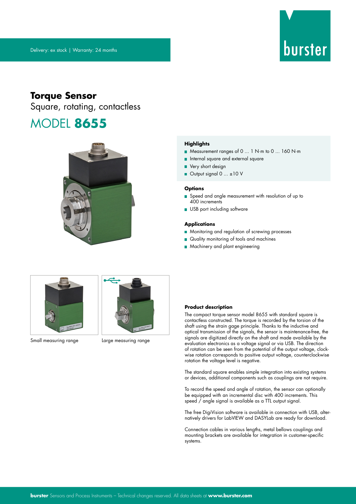

# **Torque Sensor**

Square, rotating, contactless

# MODEL **8655**



### **Highlights**

- Measurement ranges of 0 ... 1 N·m to 0 ... 160 N·m
- **n** Internal square and external square
- **Very short design**
- Output signal 0 ... ±10 V

#### **Options**

- Speed and angle measurement with resolution of up to 400 increments
- USB port including software

### **Applications**

- **Monitoring and regulation of screwing processes**
- Quality monitoring of tools and machines
- **Machinery and plant engineering**



Small measuring range Large measuring range



#### **Product description**

The compact torque sensor model 8655 with standard square is contactless constructed. The torque is recorded by the torsion of the shaft using the strain gage principle. Thanks to the inductive and optical transmission of the signals, the sensor is maintenance-free, the signals are digitized directly on the shaft and made available by the evaluation electronics as a voltage signal or via USB. The direction of rotation can be seen from the potential of the output voltage, clockwise rotation corresponds to positive output voltage, counterclockwise rotation the voltage level is negative.

The standard square enables simple integration into existing systems or devices, additional components such as couplings are not require.

To record the speed and angle of rotation, the sensor can optionally be equipped with an incremental disc with 400 increments. This speed / angle signal is available as a TTL output signal.

The free DigiVision software is available in connection with USB, alternatively drivers for LabVIEW and DASYLab are ready for download.

Connection cables in various lengths, metal bellows couplings and mounting brackets are available for integration in customer-specific systems.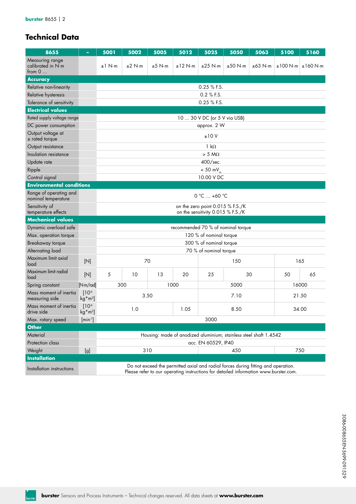# **Technical Data**

| 8655                                             |                                       | 5001                                                                                                                                                                      | 5002                                                              | 5005             | 5012                               | 5025                                                                  | 5050    | 5063                 | 5100  | 5160                        |  |  |  |
|--------------------------------------------------|---------------------------------------|---------------------------------------------------------------------------------------------------------------------------------------------------------------------------|-------------------------------------------------------------------|------------------|------------------------------------|-----------------------------------------------------------------------|---------|----------------------|-------|-----------------------------|--|--|--|
| Measuring range<br>calibrated in N·m<br>from $0$ |                                       | $±1$ N⋅m                                                                                                                                                                  | ±2 N·m                                                            | $±5$ N $\cdot$ m | ±12 N·m                            | $±25$ N $\cdot$ m                                                     | ±50 N·m | $\pm 63$ N $\cdot$ m |       | $\pm 100$ N·m $\pm 160$ N·m |  |  |  |
| <b>Accuracy</b>                                  |                                       |                                                                                                                                                                           |                                                                   |                  |                                    |                                                                       |         |                      |       |                             |  |  |  |
| Relative non-linearity                           |                                       |                                                                                                                                                                           | $0.25$ % F.S.                                                     |                  |                                    |                                                                       |         |                      |       |                             |  |  |  |
| Relative hysteresis                              |                                       |                                                                                                                                                                           | 0.2 % F.S.                                                        |                  |                                    |                                                                       |         |                      |       |                             |  |  |  |
| Tolerance of sensitivity                         |                                       |                                                                                                                                                                           | 0.25 % F.S.                                                       |                  |                                    |                                                                       |         |                      |       |                             |  |  |  |
| <b>Electrical values</b>                         |                                       |                                                                                                                                                                           |                                                                   |                  |                                    |                                                                       |         |                      |       |                             |  |  |  |
| Rated supply voltage range                       |                                       |                                                                                                                                                                           | 10  30 V DC (or 5 V via USB)                                      |                  |                                    |                                                                       |         |                      |       |                             |  |  |  |
| DC power consumption                             |                                       |                                                                                                                                                                           | approx. 2 W                                                       |                  |                                    |                                                                       |         |                      |       |                             |  |  |  |
| Output voltage at<br>$±$ rated torque            |                                       |                                                                                                                                                                           | ±10V                                                              |                  |                                    |                                                                       |         |                      |       |                             |  |  |  |
| Output resistance                                |                                       |                                                                                                                                                                           |                                                                   |                  |                                    | $1 k\Omega$                                                           |         |                      |       |                             |  |  |  |
| Insulation resistance                            |                                       |                                                                                                                                                                           |                                                                   |                  |                                    | $> 5 M\Omega$                                                         |         |                      |       |                             |  |  |  |
| Update rate                                      |                                       |                                                                                                                                                                           |                                                                   |                  |                                    | 400/sec.                                                              |         |                      |       |                             |  |  |  |
| Ripple                                           |                                       |                                                                                                                                                                           |                                                                   |                  |                                    | $< 50$ mV $_{\textrm{\tiny{ex}}}$                                     |         |                      |       |                             |  |  |  |
| Control signal                                   |                                       |                                                                                                                                                                           |                                                                   |                  |                                    | 10.00 V DC                                                            |         |                      |       |                             |  |  |  |
| <b>Environmental conditions</b>                  |                                       |                                                                                                                                                                           |                                                                   |                  |                                    |                                                                       |         |                      |       |                             |  |  |  |
| Range of operating and<br>nominal temperature    |                                       |                                                                                                                                                                           |                                                                   |                  |                                    | $0 °C  +60 °C$                                                        |         |                      |       |                             |  |  |  |
| Sensitivity of<br>temperature effects            |                                       |                                                                                                                                                                           |                                                                   |                  |                                    | on the zero point 0.015 % F.S./K<br>on the sensitivity 0.015 % F.S./K |         |                      |       |                             |  |  |  |
| <b>Mechanical values</b>                         |                                       |                                                                                                                                                                           |                                                                   |                  |                                    |                                                                       |         |                      |       |                             |  |  |  |
| Dynamic overload safe                            |                                       |                                                                                                                                                                           |                                                                   |                  | recommended 70 % of nominal torque |                                                                       |         |                      |       |                             |  |  |  |
| Max. operation torque                            |                                       |                                                                                                                                                                           |                                                                   |                  |                                    | 120 % of nominal torque                                               |         |                      |       |                             |  |  |  |
| Breakaway torque                                 |                                       |                                                                                                                                                                           |                                                                   |                  |                                    | 300 % of nominal torque                                               |         |                      |       |                             |  |  |  |
| Alternating load                                 |                                       |                                                                                                                                                                           |                                                                   |                  |                                    | 70 % of nominal torque                                                |         |                      |       |                             |  |  |  |
| Maximum limit axial<br>load                      | [N]                                   |                                                                                                                                                                           |                                                                   | 70               |                                    |                                                                       | 150     |                      |       | 165                         |  |  |  |
| Maximum limit radial<br>load                     | $[ N ]$                               | 5                                                                                                                                                                         | 10                                                                | 13               | 20                                 | 25                                                                    |         | 30                   | 50    | 65                          |  |  |  |
| Spring constant                                  | [N·m/rad]                             |                                                                                                                                                                           | 300                                                               |                  | 1000                               |                                                                       | 5000    | 16000                |       |                             |  |  |  |
| Mass moment of inertia<br>measuring side         | 10 <sup>6</sup><br>$kg*m2$ ]          |                                                                                                                                                                           |                                                                   | 3.50             |                                    |                                                                       | 7.10    |                      | 21.50 |                             |  |  |  |
| Mass moment of inertia<br>drive side             | [10 <sup>6</sup> ]<br>$kg*m2$         | 1.0<br>1.05<br>8.50<br>34.00                                                                                                                                              |                                                                   |                  |                                    |                                                                       |         |                      |       |                             |  |  |  |
| Max. rotary speed                                | $\left[\text{min}^{\text{-}1}\right]$ | 3000                                                                                                                                                                      |                                                                   |                  |                                    |                                                                       |         |                      |       |                             |  |  |  |
| <b>Other</b>                                     |                                       |                                                                                                                                                                           |                                                                   |                  |                                    |                                                                       |         |                      |       |                             |  |  |  |
| Material                                         |                                       |                                                                                                                                                                           | Housing: made of anodized aluminium; stainless steel shaft 1.4542 |                  |                                    |                                                                       |         |                      |       |                             |  |  |  |
| Protection class                                 |                                       | acc. EN 60529, IP40                                                                                                                                                       |                                                                   |                  |                                    |                                                                       |         |                      |       |                             |  |  |  |
| Weight                                           | [g]                                   | 310                                                                                                                                                                       |                                                                   |                  |                                    | 750<br>450                                                            |         |                      |       |                             |  |  |  |
| <b>Installation</b>                              |                                       |                                                                                                                                                                           |                                                                   |                  |                                    |                                                                       |         |                      |       |                             |  |  |  |
| Installation instructions                        |                                       | Do not exceed the permitted axial and radial forces during fitting and operation.<br>Please refer to our operating instructions for detailed information www.burster.com. |                                                                   |                  |                                    |                                                                       |         |                      |       |                             |  |  |  |

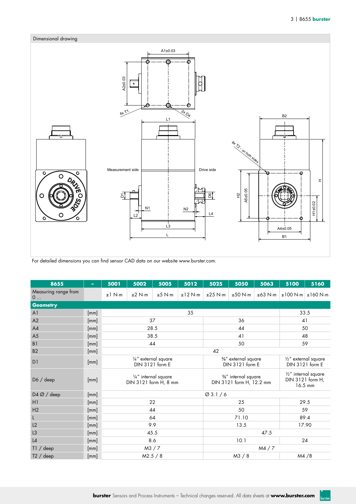**burster** 



For detailed dimensions you can find sensor CAD data on our website www.burster.com.

| 8655                      | ۰    | 5001     | 5002   | 5005                                          | 5012      | 5025                 | 5050                                           | 5063                                                           | 5100  | 5160                        |
|---------------------------|------|----------|--------|-----------------------------------------------|-----------|----------------------|------------------------------------------------|----------------------------------------------------------------|-------|-----------------------------|
| Measuring range from<br>0 |      | $±1$ N⋅m | ±2 N·m | $±5$ N $\cdot$ m                              | $±12$ N⋅m | $\pm 25$ N $\cdot$ m | ±50 N·m                                        | $\pm 63$ N $\cdot$ m                                           |       | $\pm 100$ N·m $\pm 160$ N·m |
| <b>Geometry</b>           |      |          |        |                                               |           |                      |                                                |                                                                |       |                             |
| A <sub>1</sub>            | [mm] |          |        |                                               | 33.5      |                      |                                                |                                                                |       |                             |
| A2                        | [mm] |          |        | 37                                            |           |                      | 36                                             | 41                                                             |       |                             |
| AA                        | [mm] |          |        | 28.5                                          |           |                      | 44                                             | 50                                                             |       |                             |
| A <sub>5</sub>            | [mm] |          |        | 38.5                                          |           |                      | 41                                             | 48                                                             |       |                             |
| B <sub>1</sub>            | [mm] |          |        | 44                                            |           |                      | 50                                             |                                                                | 59    |                             |
| <b>B2</b>                 | [mm] |          |        |                                               |           | 42                   |                                                |                                                                |       |                             |
| D1                        | [mm] |          |        | 1/4" external square<br>DIN 3121 form E       |           |                      | %" external square<br>DIN 3121 form E          | 1/2" external square<br>DIN 3121 form E                        |       |                             |
| D6 / deep                 | [mm] |          |        | 1/4" internal square<br>DIN 3121 form H, 8 mm |           |                      | %" internal square<br>DIN 3121 form H, 12.2 mm | $\frac{1}{2}$ " internal square<br>DIN 3121 form H,<br>16.5 mm |       |                             |
| D4 Ø / deep               | [mm] |          |        |                                               |           |                      |                                                |                                                                |       |                             |
| H1                        | [mm] |          |        | 22                                            |           |                      | 25                                             | 29.5                                                           |       |                             |
| H2                        | [mm] |          |        | 44                                            |           | 50                   |                                                |                                                                | 59    |                             |
| $\mathsf L$               | [mm] |          |        | 64                                            |           | 71.10                |                                                |                                                                | 89.4  |                             |
| L2                        | [mm] |          |        | 9.9                                           |           | 13.5                 |                                                |                                                                | 17.90 |                             |
| L <sub>3</sub>            | [mm] |          |        | 45.5                                          |           |                      |                                                |                                                                |       |                             |
| L4                        | [mm] |          |        | 8.6                                           |           | 10.1                 |                                                |                                                                | 24    |                             |
| T1 / deep                 | [mm] |          |        | M3 / 7                                        |           |                      |                                                |                                                                |       |                             |
| T2 / deep                 | [mm] |          |        | M2.5 / 8                                      |           |                      | M3 / 8                                         |                                                                |       | M4/8                        |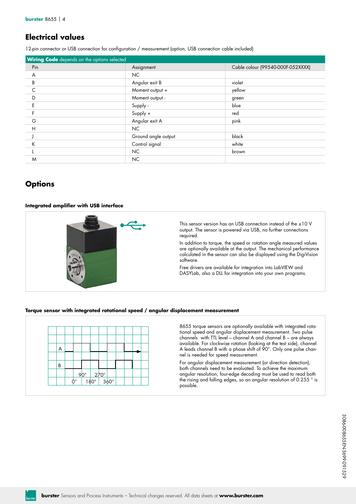## **Electrical values**

12-pin connector or USB connection for configuration / measurement (option, USB connection cable included)

| <b>Wiring Code</b> depends on the options selected |                     |                                   |
|----------------------------------------------------|---------------------|-----------------------------------|
| Pin                                                | Assignment          | Cable colour (99540-000F-052XXXX) |
| A                                                  | NC.                 |                                   |
| B                                                  | Angular exit B      | violet                            |
| C                                                  | Moment output +     | yellow                            |
| D                                                  | Moment output -     | green                             |
| E                                                  | Supply -            | blue                              |
|                                                    | Supply +            | red                               |
| G                                                  | Angular exit A      | pink                              |
| H                                                  | NC                  |                                   |
|                                                    | Ground angle output | black                             |
| Κ                                                  | Control signal      | white                             |
|                                                    | NC                  | brown                             |
| M                                                  | NC                  |                                   |

# **Options**

### **Integrated amplifier with USB interface**



This sensor version has an USB connection instead of the ±10 V output. The sensor is powered via USB, no further connections required.

In addition to torque, the speed or rotation angle measured values are optionally available at the output. The mechanical performance calculated in the sensor can also be displayed using the DigiVision software.

Free drivers are available for integration into LabVIEW and DASYLab, also a DLL for integration into your own programs.

### **Torque sensor with integrated rotational speed / angular displacement measurement**



8655 torque sensors are optionally available with integrated rotational speed and angular displacement measurement. Two pulse channels with TTL level – channel A and channel B – are always available. For clockwise rotation (looking at the test side), channel A leads channel B with a phase shift of 90°. Only one pulse channel is needed for speed measurement.

For angular displacement measurement (or direction detection), both channels need to be evaluated. To achieve the maximum angular resolution, four-edge decoding must be used to read both the rising and falling edges, so an angular resolution of 0.255 ° is possible.

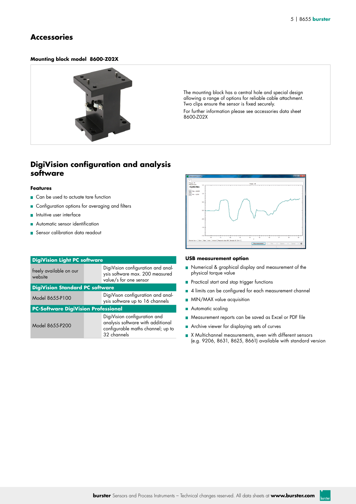### **Accessories**

### **Mounting block model 8600-Z02X**



The mounting block has a central hole and special design allowing a range of options for reliable cable attachment. Two clips ensure the sensor is fixed securely.

For further information please see accessories data sheet 8600-Z02X

### **DigiVision configuration and analysis software**

### **Features**

- Can be used to actuate tare function
- **Configuration options for averaging and filters**
- **n** Intuitive user interface
- Automatic sensor identification
- Sensor calibration data readout

| <b>DigiVision Light PC software</b>        |                                                                                                                       |
|--------------------------------------------|-----------------------------------------------------------------------------------------------------------------------|
| freely available on our<br>website         | DigiVision configuration and anal-<br>ysis software max. 200 measured<br>value/s for one sensor                       |
| <b>DigiVision Standard PC software</b>     |                                                                                                                       |
| Model 8655-P100                            | DigiVison configuration and anal-<br>ysis software up to 16 channels                                                  |
| <b>PC-Software DigiVision Professional</b> |                                                                                                                       |
| Model 8655-P200                            | DigiVision configuration and<br>analysis software with additional<br>configurable maths channel; up to<br>32 channels |



### **USB measurement option**

- Numerical & graphical display and measurement of the physical torque value
- **Practical start and stop trigger functions**
- 4 limits can be configured for each measurement channel
- **MIN/MAX value acquisition**
- Automatic scaling
- Measurement reports can be saved as Excel or PDF file
- Archive viewer for displaying sets of curves
- X Multichannel measurements, even with different sensors (e.g. 9206, 8631, 8625, 8661) available with standard version

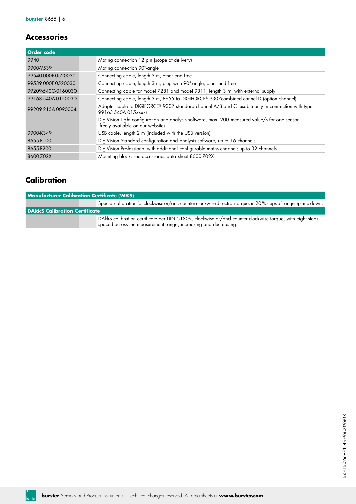# **Accessories**

| <b>Order code</b>  |                                                                                                                                     |
|--------------------|-------------------------------------------------------------------------------------------------------------------------------------|
| 9940               | Mating connection 12 pin (scope of delivery)                                                                                        |
| 9900-V539          | Mating connection 90°-angle                                                                                                         |
| 99540-000F-0520030 | Connecting cable, length 3 m, other end free                                                                                        |
| 99539-000F-0520030 | Connecting cable, length 3 m, plug with 90°-angle, other end free                                                                   |
| 99209-540G-0160030 | Connecting cable for model 7281 and model 9311, length 3 m, with external supply                                                    |
| 99163-540A-0150030 | Connecting cable, length 3 m, 8655 to DIGIFORCE® 9307combined cannel D (option channel)                                             |
| 99209-215A-0090004 | Adapter cable to DIGIFORCE® 9307 standard channel A/B and C (usable only in connection with type<br>99163-540A-015xxxx)             |
|                    | DigiVision Light configuration and analysis software, max. 200 measured value/s for one sensor<br>(freely available on our website) |
| 9900-K349          | USB cable, length 2 m (included with the USB version)                                                                               |
| 8655-P100          | DigiVision Standard configuration and analysis software; up to 16 channels                                                          |
| 8655-P200          | DigiVision Professional with additional configurable maths channel; up to 32 channels                                               |
| 8600-Z02X          | Mounting block, see accessories data sheet 8600-Z02X                                                                                |

# **Calibration**

| <b>Manufacturer Calibration Certificate (WKS)</b> |                                                                                                                                                                             |  |  |  |  |  |  |  |  |
|---------------------------------------------------|-----------------------------------------------------------------------------------------------------------------------------------------------------------------------------|--|--|--|--|--|--|--|--|
|                                                   | Special calibration for clockwise or/and counter clockwise direction torque, in 20% steps of range up and down.                                                             |  |  |  |  |  |  |  |  |
| <b>DAkkS Calibration Certificate</b>              |                                                                                                                                                                             |  |  |  |  |  |  |  |  |
|                                                   | DAkkS calibration certificate per DIN 51309, clockwise or/and counter clockwise torque, with eight steps<br>spaced across the measurement range, increasing and decreasing. |  |  |  |  |  |  |  |  |